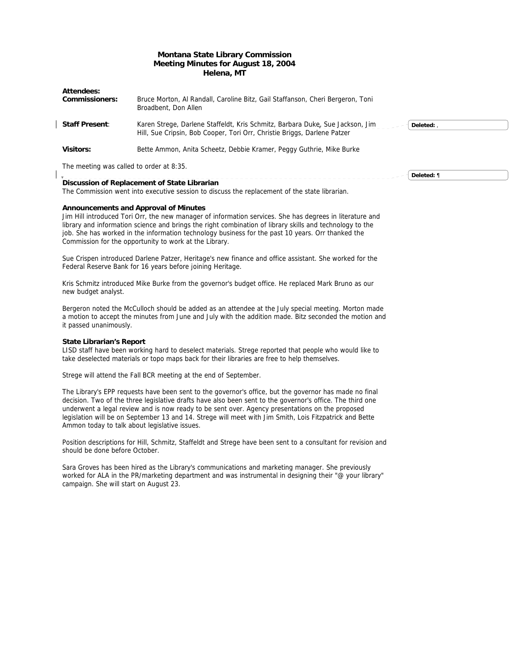# **Montana State Library Commission Meeting Minutes for August 18, 2004 Helena, MT**

**Attendees: Commissioners:** Bruce Morton, Al Randall, Caroline Bitz, Gail Staffanson, Cheri Bergeron, Toni

|                       | Broadbent, Don Allen                                                                                                                                                  |
|-----------------------|-----------------------------------------------------------------------------------------------------------------------------------------------------------------------|
| <b>Staff Present:</b> | Karen Strege, Darlene Staffeldt, Kris Schmitz, Barbara Duke, Sue Jackson, Jim<br>Deleted:<br>Hill, Sue Cripsin, Bob Cooper, Tori Orr, Christie Briggs, Darlene Patzer |
| <b>Visitors:</b>      | Bette Ammon, Anita Scheetz, Debbie Kramer, Peggy Guthrie, Mike Burke                                                                                                  |

The meeting was called to order at 8:35.

**Deleted:** ¶

# **Discussion of Replacement of State Librarian**

The Commission went into executive session to discuss the replacement of the state librarian.

# **Announcements and Approval of Minutes**

Jim Hill introduced Tori Orr, the new manager of information services. She has degrees in literature and library and information science and brings the right combination of library skills and technology to the job. She has worked in the information technology business for the past 10 years. Orr thanked the Commission for the opportunity to work at the Library.

Sue Crispen introduced Darlene Patzer, Heritage's new finance and office assistant. She worked for the Federal Reserve Bank for 16 years before joining Heritage.

Kris Schmitz introduced Mike Burke from the governor's budget office. He replaced Mark Bruno as our new budget analyst.

Bergeron noted the McCulloch should be added as an attendee at the July special meeting. Morton made a motion to accept the minutes from June and July with the addition made. Bitz seconded the motion and it passed unanimously.

# **State Librarian's Report**

LISD staff have been working hard to deselect materials. Strege reported that people who would like to take deselected materials or topo maps back for their libraries are free to help themselves.

Strege will attend the Fall BCR meeting at the end of September.

The Library's EPP requests have been sent to the governor's office, but the governor has made no final decision. Two of the three legislative drafts have also been sent to the governor's office. The third one underwent a legal review and is now ready to be sent over. Agency presentations on the proposed legislation will be on September 13 and 14. Strege will meet with Jim Smith, Lois Fitzpatrick and Bette Ammon today to talk about legislative issues.

Position descriptions for Hill, Schmitz, Staffeldt and Strege have been sent to a consultant for revision and should be done before October.

Sara Groves has been hired as the Library's communications and marketing manager. She previously worked for ALA in the PR/marketing department and was instrumental in designing their "@ your library" campaign. She will start on August 23.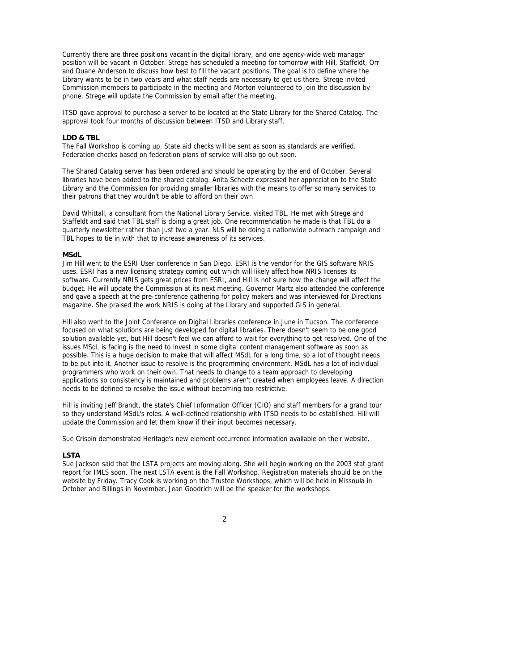Currently there are three positions vacant in the digital library, and one agency-wide web manager position will be vacant in October. Strege has scheduled a meeting for tomorrow with Hill, Staffeldt, Orr and Duane Anderson to discuss how best to fill the vacant positions. The goal is to define where the Library wants to be in two years and what staff needs are necessary to get us there. Strege invited Commission members to participate in the meeting and Morton volunteered to join the discussion by phone. Strege will update the Commission by email after the meeting.

ITSD gave approval to purchase a server to be located at the State Library for the Shared Catalog. The approval took four months of discussion between ITSD and Library staff.

### **LDD & TBL**

The Fall Workshop is coming up. State aid checks will be sent as soon as standards are verified. Federation checks based on federation plans of service will also go out soon.

The Shared Catalog server has been ordered and should be operating by the end of October. Several libraries have been added to the shared catalog. Anita Scheetz expressed her appreciation to the State Library and the Commission for providing smaller libraries with the means to offer so many services to their patrons that they wouldn't be able to afford on their own.

David Whittall, a consultant from the National Library Service, visited TBL. He met with Strege and Staffeldt and said that TBL staff is doing a great job. One recommendation he made is that TBL do a quarterly newsletter rather than just two a year. NLS will be doing a nationwide outreach campaign and TBL hopes to tie in with that to increase awareness of its services.

#### **MSdL**

Jim Hill went to the ESRI User conference in San Diego. ESRI is the vendor for the GIS software NRIS uses. ESRI has a new licensing strategy coming out which will likely affect how NRIS licenses its software. Currently NRIS gets great prices from ESRI, and Hill is not sure how the change will affect the budget. He will update the Commission at its next meeting. Governor Martz also attended the conference and gave a speech at the pre-conference gathering for policy makers and was interviewed for Directions magazine. She praised the work NRIS is doing at the Library and supported GIS in general.

Hill also went to the Joint Conference on Digital Libraries conference in June in Tucson. The conference focused on what solutions are being developed for digital libraries. There doesn't seem to be one good solution available yet, but Hill doesn't feel we can afford to wait for everything to get resolved. One of the issues MSdL is facing is the need to invest in some digital content management software as soon as possible. This is a huge decision to make that will affect MSdL for a long time, so a lot of thought needs to be put into it. Another issue to resolve is the programming environment. MSdL has a lot of individual programmers who work on their own. That needs to change to a team approach to developing applications so consistency is maintained and problems aren't created when employees leave. A direction needs to be defined to resolve the issue without becoming too restrictive.

Hill is inviting Jeff Brandt, the state's Chief Information Officer (CIO) and staff members for a grand tour so they understand MSdL's roles. A well-defined relationship with ITSD needs to be established. Hill will update the Commission and let them know if their input becomes necessary.

Sue Crispin demonstrated Heritage's new element occurrence information available on their website.

## **LSTA**

Sue Jackson said that the LSTA projects are moving along. She will begin working on the 2003 stat grant report for IMLS soon. The next LSTA event is the Fall Workshop. Registration materials should be on the website by Friday. Tracy Cook is working on the Trustee Workshops, which will be held in Missoula in October and Billings in November. Jean Goodrich will be the speaker for the workshops.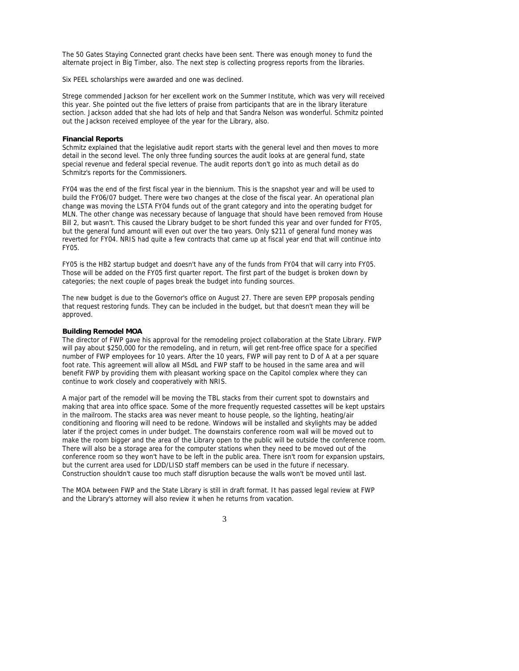The 50 Gates Staying Connected grant checks have been sent. There was enough money to fund the alternate project in Big Timber, also. The next step is collecting progress reports from the libraries.

Six PEEL scholarships were awarded and one was declined.

Strege commended Jackson for her excellent work on the Summer Institute, which was very will received this year. She pointed out the five letters of praise from participants that are in the library literature section. Jackson added that she had lots of help and that Sandra Nelson was wonderful. Schmitz pointed out the Jackson received employee of the year for the Library, also.

## **Financial Reports**

Schmitz explained that the legislative audit report starts with the general level and then moves to more detail in the second level. The only three funding sources the audit looks at are general fund, state special revenue and federal special revenue. The audit reports don't go into as much detail as do Schmitz's reports for the Commissioners.

FY04 was the end of the first fiscal year in the biennium. This is the snapshot year and will be used to build the FY06/07 budget. There were two changes at the close of the fiscal year. An operational plan change was moving the LSTA FY04 funds out of the grant category and into the operating budget for MLN. The other change was necessary because of language that should have been removed from House Bill 2, but wasn't. This caused the Library budget to be short funded this year and over funded for FY05, but the general fund amount will even out over the two years. Only \$211 of general fund money was reverted for FY04. NRIS had quite a few contracts that came up at fiscal year end that will continue into FY05.

FY05 is the HB2 startup budget and doesn't have any of the funds from FY04 that will carry into FY05. Those will be added on the FY05 first quarter report. The first part of the budget is broken down by categories; the next couple of pages break the budget into funding sources.

The new budget is due to the Governor's office on August 27. There are seven EPP proposals pending that request restoring funds. They can be included in the budget, but that doesn't mean they will be approved.

## **Building Remodel MOA**

The director of FWP gave his approval for the remodeling project collaboration at the State Library. FWP will pay about \$250,000 for the remodeling, and in return, will get rent-free office space for a specified number of FWP employees for 10 years. After the 10 years, FWP will pay rent to D of A at a per square foot rate. This agreement will allow all MSdL and FWP staff to be housed in the same area and will benefit FWP by providing them with pleasant working space on the Capitol complex where they can continue to work closely and cooperatively with NRIS.

A major part of the remodel will be moving the TBL stacks from their current spot to downstairs and making that area into office space. Some of the more frequently requested cassettes will be kept upstairs in the mailroom. The stacks area was never meant to house people, so the lighting, heating/air conditioning and flooring will need to be redone. Windows will be installed and skylights may be added later if the project comes in under budget. The downstairs conference room wall will be moved out to make the room bigger and the area of the Library open to the public will be outside the conference room. There will also be a storage area for the computer stations when they need to be moved out of the conference room so they won't have to be left in the public area. There isn't room for expansion upstairs, but the current area used for LDD/LISD staff members can be used in the future if necessary. Construction shouldn't cause too much staff disruption because the walls won't be moved until last.

The MOA between FWP and the State Library is still in draft format. It has passed legal review at FWP and the Library's attorney will also review it when he returns from vacation.

3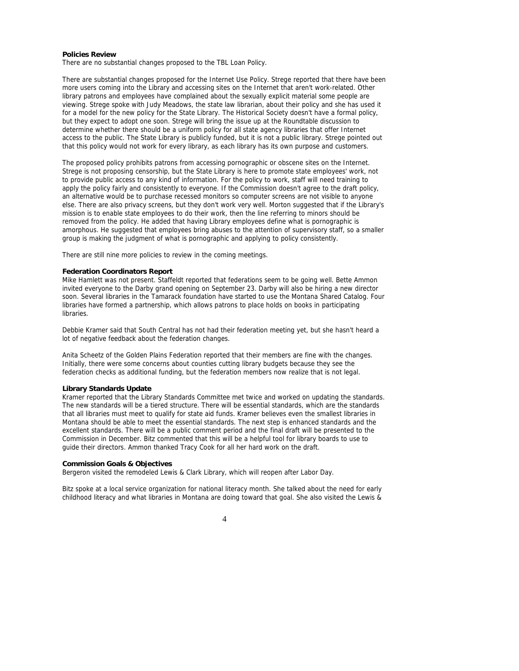### **Policies Review**

There are no substantial changes proposed to the TBL Loan Policy.

There are substantial changes proposed for the Internet Use Policy. Strege reported that there have been more users coming into the Library and accessing sites on the Internet that aren't work-related. Other library patrons and employees have complained about the sexually explicit material some people are viewing. Strege spoke with Judy Meadows, the state law librarian, about their policy and she has used it for a model for the new policy for the State Library. The Historical Society doesn't have a formal policy, but they expect to adopt one soon. Strege will bring the issue up at the Roundtable discussion to determine whether there should be a uniform policy for all state agency libraries that offer Internet access to the public. The State Library is publicly funded, but it is not a public library. Strege pointed out that this policy would not work for every library, as each library has its own purpose and customers.

The proposed policy prohibits patrons from accessing pornographic or obscene sites on the Internet. Strege is not proposing censorship, but the State Library is here to promote state employees' work, not to provide public access to any kind of information. For the policy to work, staff will need training to apply the policy fairly and consistently to everyone. If the Commission doesn't agree to the draft policy, an alternative would be to purchase recessed monitors so computer screens are not visible to anyone else. There are also privacy screens, but they don't work very well. Morton suggested that if the Library's mission is to enable state employees to do their work, then the line referring to minors should be removed from the policy. He added that having Library employees define what is pornographic is amorphous. He suggested that employees bring abuses to the attention of supervisory staff, so a smaller group is making the judgment of what is pornographic and applying to policy consistently.

There are still nine more policies to review in the coming meetings.

# **Federation Coordinators Report**

Mike Hamlett was not present. Staffeldt reported that federations seem to be going well. Bette Ammon invited everyone to the Darby grand opening on September 23. Darby will also be hiring a new director soon. Several libraries in the Tamarack foundation have started to use the Montana Shared Catalog. Four libraries have formed a partnership, which allows patrons to place holds on books in participating libraries.

Debbie Kramer said that South Central has not had their federation meeting yet, but she hasn't heard a lot of negative feedback about the federation changes.

Anita Scheetz of the Golden Plains Federation reported that their members are fine with the changes. Initially, there were some concerns about counties cutting library budgets because they see the federation checks as additional funding, but the federation members now realize that is not legal.

#### **Library Standards Update**

Kramer reported that the Library Standards Committee met twice and worked on updating the standards. The new standards will be a tiered structure. There will be essential standards, which are the standards that all libraries must meet to qualify for state aid funds. Kramer believes even the smallest libraries in Montana should be able to meet the essential standards. The next step is enhanced standards and the excellent standards. There will be a public comment period and the final draft will be presented to the Commission in December. Bitz commented that this will be a helpful tool for library boards to use to guide their directors. Ammon thanked Tracy Cook for all her hard work on the draft.

#### **Commission Goals & Objectives**

Bergeron visited the remodeled Lewis & Clark Library, which will reopen after Labor Day.

Bitz spoke at a local service organization for national literacy month. She talked about the need for early childhood literacy and what libraries in Montana are doing toward that goal. She also visited the Lewis &

4